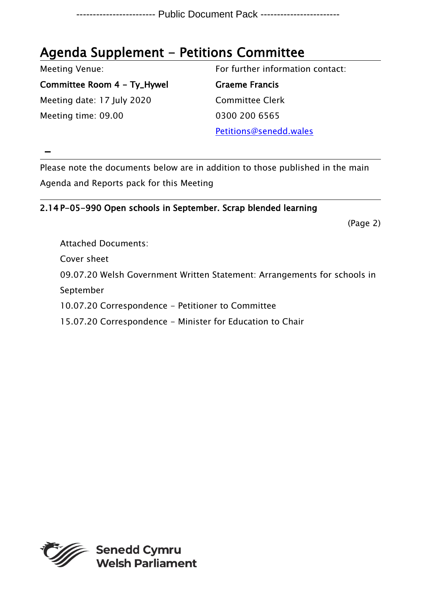## Agenda Supplement - Petitions Committee

Meeting Venue:

Committee Room 4 - Ty\_Hywel Meeting date: 17 July 2020 Meeting time: 09.00

For further information contact:

Graeme Francis Committee Clerk 0300 200 6565

Petitions@senedd.wales

 $\left\vert -\right\rangle$ 

Please note the documents below are in addition to those published in the main Agenda and Reports pack for this Meeting

2.14 P-05-990 Open schools in September. Scrap blended learning

(Page 2)

Attached Documents: Cover sheet 09.07.20 Welsh Government Written Statement: Arrangements for schools in September 10.07.20 Correspondence - Petitioner to Committee 15.07.20 Correspondence - Minister for Education to Chair